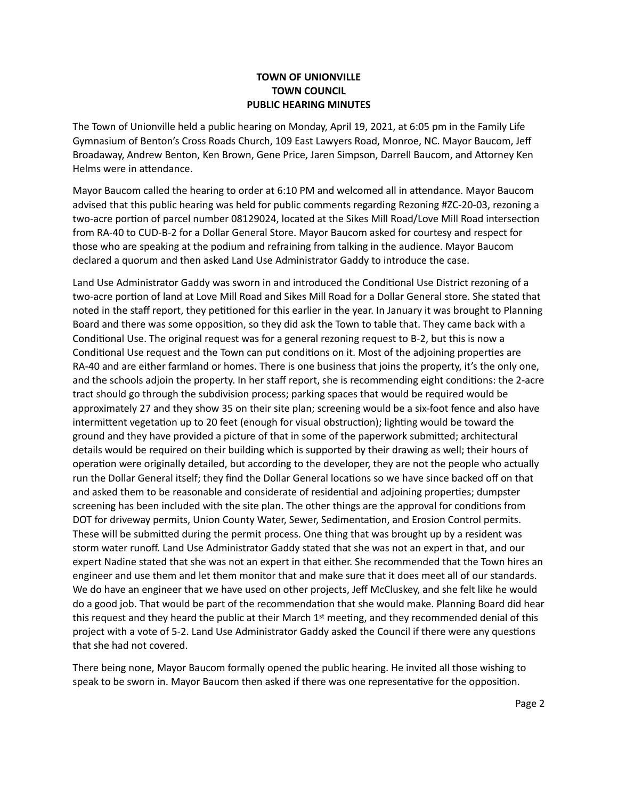## **TOWN OF UNIONVILLE TOWN COUNCIL PUBLIC HEARING MINUTES**

The Town of Unionville held a public hearing on Monday, April 19, 2021, at 6:05 pm in the Family Life Gymnasium of Benton's Cross Roads Church, 109 East Lawyers Road, Monroe, NC. Mayor Baucom, Jeff Broadaway, Andrew Benton, Ken Brown, Gene Price, Jaren Simpson, Darrell Baucom, and Attorney Ken Helms were in attendance.

Mayor Baucom called the hearing to order at 6:10 PM and welcomed all in attendance. Mayor Baucom advised that this public hearing was held for public comments regarding Rezoning #ZC-20-03, rezoning a two-acre portion of parcel number 08129024, located at the Sikes Mill Road/Love Mill Road intersection from RA-40 to CUD-B-2 for a Dollar General Store. Mayor Baucom asked for courtesy and respect for those who are speaking at the podium and refraining from talking in the audience. Mayor Baucom declared a quorum and then asked Land Use Administrator Gaddy to introduce the case.

Land Use Administrator Gaddy was sworn in and introduced the Conditional Use District rezoning of a two-acre portion of land at Love Mill Road and Sikes Mill Road for a Dollar General store. She stated that noted in the staff report, they petitioned for this earlier in the year. In January it was brought to Planning Board and there was some opposition, so they did ask the Town to table that. They came back with a Conditional Use. The original request was for a general rezoning request to B-2, but this is now a Conditional Use request and the Town can put conditions on it. Most of the adjoining properties are RA-40 and are either farmland or homes. There is one business that joins the property, it's the only one, and the schools adjoin the property. In her staff report, she is recommending eight conditions: the 2-acre tract should go through the subdivision process; parking spaces that would be required would be approximately 27 and they show 35 on their site plan; screening would be a six-foot fence and also have intermittent vegetation up to 20 feet (enough for visual obstruction); lighting would be toward the ground and they have provided a picture of that in some of the paperwork submitted; architectural details would be required on their building which is supported by their drawing as well; their hours of operation were originally detailed, but according to the developer, they are not the people who actually run the Dollar General itself; they find the Dollar General locations so we have since backed off on that and asked them to be reasonable and considerate of residential and adjoining properties; dumpster screening has been included with the site plan. The other things are the approval for conditions from DOT for driveway permits, Union County Water, Sewer, Sedimentation, and Erosion Control permits. These will be submitted during the permit process. One thing that was brought up by a resident was storm water runoff. Land Use Administrator Gaddy stated that she was not an expert in that, and our expert Nadine stated that she was not an expert in that either. She recommended that the Town hires an engineer and use them and let them monitor that and make sure that it does meet all of our standards. We do have an engineer that we have used on other projects, Jeff McCluskey, and she felt like he would do a good job. That would be part of the recommendation that she would make. Planning Board did hear this request and they heard the public at their March  $1<sup>st</sup>$  meeting, and they recommended denial of this project with a vote of 5-2. Land Use Administrator Gaddy asked the Council if there were any questions that she had not covered.

There being none, Mayor Baucom formally opened the public hearing. He invited all those wishing to speak to be sworn in. Mayor Baucom then asked if there was one representative for the opposition.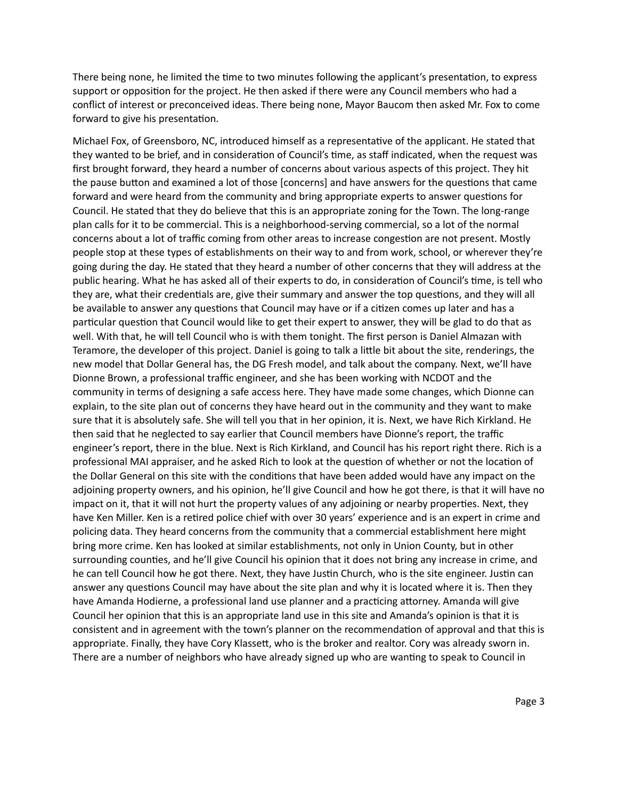There being none, he limited the time to two minutes following the applicant's presentation, to express support or opposition for the project. He then asked if there were any Council members who had a conflict of interest or preconceived ideas. There being none, Mayor Baucom then asked Mr. Fox to come forward to give his presentation.

Michael Fox, of Greensboro, NC, introduced himself as a representative of the applicant. He stated that they wanted to be brief, and in consideration of Council's time, as staff indicated, when the request was first brought forward, they heard a number of concerns about various aspects of this project. They hit the pause button and examined a lot of those [concerns] and have answers for the questions that came forward and were heard from the community and bring appropriate experts to answer questions for Council. He stated that they do believe that this is an appropriate zoning for the Town. The long-range plan calls for it to be commercial. This is a neighborhood-serving commercial, so a lot of the normal concerns about a lot of traffic coming from other areas to increase congestion are not present. Mostly people stop at these types of establishments on their way to and from work, school, or wherever they're going during the day. He stated that they heard a number of other concerns that they will address at the public hearing. What he has asked all of their experts to do, in consideration of Council's time, is tell who they are, what their credentials are, give their summary and answer the top questions, and they will all be available to answer any questions that Council may have or if a citizen comes up later and has a particular question that Council would like to get their expert to answer, they will be glad to do that as well. With that, he will tell Council who is with them tonight. The first person is Daniel Almazan with Teramore, the developer of this project. Daniel is going to talk a little bit about the site, renderings, the new model that Dollar General has, the DG Fresh model, and talk about the company. Next, we'll have Dionne Brown, a professional traffic engineer, and she has been working with NCDOT and the community in terms of designing a safe access here. They have made some changes, which Dionne can explain, to the site plan out of concerns they have heard out in the community and they want to make sure that it is absolutely safe. She will tell you that in her opinion, it is. Next, we have Rich Kirkland. He then said that he neglected to say earlier that Council members have Dionne's report, the traffic engineer's report, there in the blue. Next is Rich Kirkland, and Council has his report right there. Rich is a professional MAI appraiser, and he asked Rich to look at the question of whether or not the location of the Dollar General on this site with the conditions that have been added would have any impact on the adjoining property owners, and his opinion, he'll give Council and how he got there, is that it will have no impact on it, that it will not hurt the property values of any adjoining or nearby properties. Next, they have Ken Miller. Ken is a retired police chief with over 30 years' experience and is an expert in crime and policing data. They heard concerns from the community that a commercial establishment here might bring more crime. Ken has looked at similar establishments, not only in Union County, but in other surrounding counties, and he'll give Council his opinion that it does not bring any increase in crime, and he can tell Council how he got there. Next, they have Justin Church, who is the site engineer. Justin can answer any questions Council may have about the site plan and why it is located where it is. Then they have Amanda Hodierne, a professional land use planner and a practicing attorney. Amanda will give Council her opinion that this is an appropriate land use in this site and Amanda's opinion is that it is consistent and in agreement with the town's planner on the recommendation of approval and that this is appropriate. Finally, they have Cory Klassett, who is the broker and realtor. Cory was already sworn in. There are a number of neighbors who have already signed up who are wanting to speak to Council in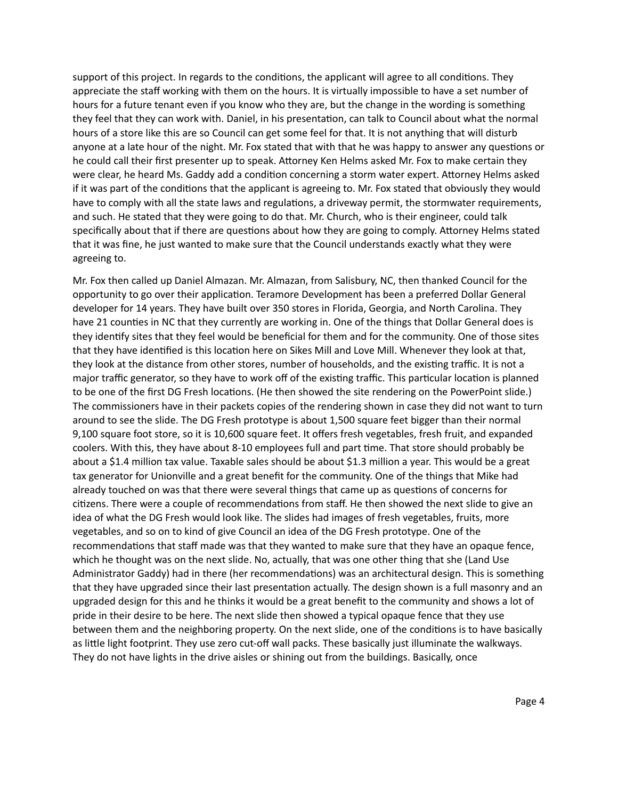support of this project. In regards to the conditions, the applicant will agree to all conditions. They appreciate the staff working with them on the hours. It is virtually impossible to have a set number of hours for a future tenant even if you know who they are, but the change in the wording is something they feel that they can work with. Daniel, in his presentation, can talk to Council about what the normal hours of a store like this are so Council can get some feel for that. It is not anything that will disturb anyone at a late hour of the night. Mr. Fox stated that with that he was happy to answer any questions or he could call their first presenter up to speak. Attorney Ken Helms asked Mr. Fox to make certain they were clear, he heard Ms. Gaddy add a condition concerning a storm water expert. Attorney Helms asked if it was part of the conditions that the applicant is agreeing to. Mr. Fox stated that obviously they would have to comply with all the state laws and regulations, a driveway permit, the stormwater requirements, and such. He stated that they were going to do that. Mr. Church, who is their engineer, could talk specifically about that if there are questions about how they are going to comply. Attorney Helms stated that it was fine, he just wanted to make sure that the Council understands exactly what they were agreeing to.

Mr. Fox then called up Daniel Almazan. Mr. Almazan, from Salisbury, NC, then thanked Council for the opportunity to go over their application. Teramore Development has been a preferred Dollar General developer for 14 years. They have built over 350 stores in Florida, Georgia, and North Carolina. They have 21 counties in NC that they currently are working in. One of the things that Dollar General does is they identify sites that they feel would be beneficial for them and for the community. One of those sites that they have identified is this location here on Sikes Mill and Love Mill. Whenever they look at that, they look at the distance from other stores, number of households, and the existing traffic. It is not a major traffic generator, so they have to work off of the existing traffic. This particular location is planned to be one of the first DG Fresh locations. (He then showed the site rendering on the PowerPoint slide.) The commissioners have in their packets copies of the rendering shown in case they did not want to turn around to see the slide. The DG Fresh prototype is about 1,500 square feet bigger than their normal 9,100 square foot store, so it is 10,600 square feet. It offers fresh vegetables, fresh fruit, and expanded coolers. With this, they have about 8-10 employees full and part time. That store should probably be about a \$1.4 million tax value. Taxable sales should be about \$1.3 million a year. This would be a great tax generator for Unionville and a great benefit for the community. One of the things that Mike had already touched on was that there were several things that came up as questions of concerns for citizens. There were a couple of recommendations from staff. He then showed the next slide to give an idea of what the DG Fresh would look like. The slides had images of fresh vegetables, fruits, more vegetables, and so on to kind of give Council an idea of the DG Fresh prototype. One of the recommendations that staff made was that they wanted to make sure that they have an opaque fence, which he thought was on the next slide. No, actually, that was one other thing that she (Land Use Administrator Gaddy) had in there (her recommendations) was an architectural design. This is something that they have upgraded since their last presentation actually. The design shown is a full masonry and an upgraded design for this and he thinks it would be a great benefit to the community and shows a lot of pride in their desire to be here. The next slide then showed a typical opaque fence that they use between them and the neighboring property. On the next slide, one of the conditions is to have basically as little light footprint. They use zero cut-off wall packs. These basically just illuminate the walkways. They do not have lights in the drive aisles or shining out from the buildings. Basically, once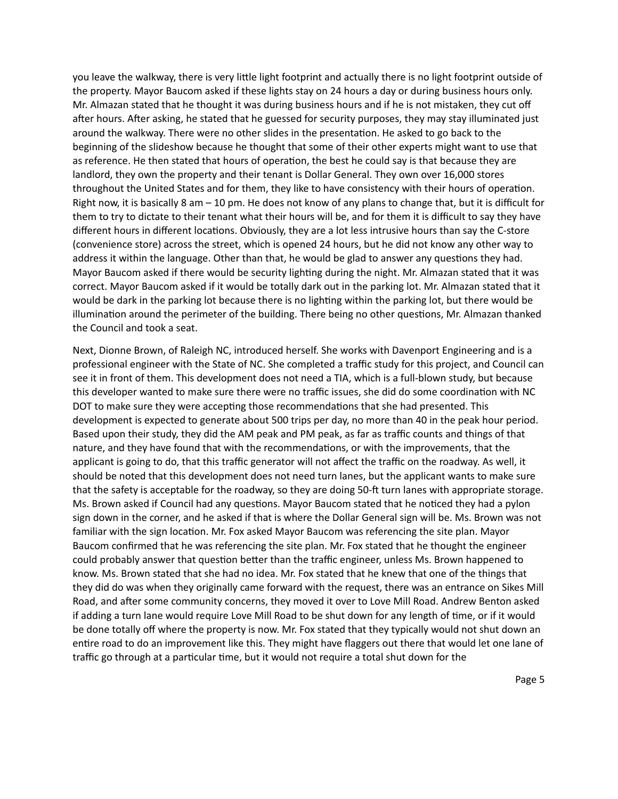you leave the walkway, there is very little light footprint and actually there is no light footprint outside of the property. Mayor Baucom asked if these lights stay on 24 hours a day or during business hours only. Mr. Almazan stated that he thought it was during business hours and if he is not mistaken, they cut off after hours. After asking, he stated that he guessed for security purposes, they may stay illuminated just around the walkway. There were no other slides in the presentation. He asked to go back to the beginning of the slideshow because he thought that some of their other experts might want to use that as reference. He then stated that hours of operation, the best he could say is that because they are landlord, they own the property and their tenant is Dollar General. They own over 16,000 stores throughout the United States and for them, they like to have consistency with their hours of operation. Right now, it is basically 8 am – 10 pm. He does not know of any plans to change that, but it is difficult for them to try to dictate to their tenant what their hours will be, and for them it is difficult to say they have different hours in different locations. Obviously, they are a lot less intrusive hours than say the C-store (convenience store) across the street, which is opened 24 hours, but he did not know any other way to address it within the language. Other than that, he would be glad to answer any questions they had. Mayor Baucom asked if there would be security lighting during the night. Mr. Almazan stated that it was correct. Mayor Baucom asked if it would be totally dark out in the parking lot. Mr. Almazan stated that it would be dark in the parking lot because there is no lighting within the parking lot, but there would be illumination around the perimeter of the building. There being no other questions, Mr. Almazan thanked the Council and took a seat.

Next, Dionne Brown, of Raleigh NC, introduced herself. She works with Davenport Engineering and is a professional engineer with the State of NC. She completed a traffic study for this project, and Council can see it in front of them. This development does not need a TIA, which is a full-blown study, but because this developer wanted to make sure there were no traffic issues, she did do some coordination with NC DOT to make sure they were accepting those recommendations that she had presented. This development is expected to generate about 500 trips per day, no more than 40 in the peak hour period. Based upon their study, they did the AM peak and PM peak, as far as traffic counts and things of that nature, and they have found that with the recommendations, or with the improvements, that the applicant is going to do, that this traffic generator will not affect the traffic on the roadway. As well, it should be noted that this development does not need turn lanes, but the applicant wants to make sure that the safety is acceptable for the roadway, so they are doing 50-ft turn lanes with appropriate storage. Ms. Brown asked if Council had any questions. Mayor Baucom stated that he noticed they had a pylon sign down in the corner, and he asked if that is where the Dollar General sign will be. Ms. Brown was not familiar with the sign location. Mr. Fox asked Mayor Baucom was referencing the site plan. Mayor Baucom confirmed that he was referencing the site plan. Mr. Fox stated that he thought the engineer could probably answer that question better than the traffic engineer, unless Ms. Brown happened to know. Ms. Brown stated that she had no idea. Mr. Fox stated that he knew that one of the things that they did do was when they originally came forward with the request, there was an entrance on Sikes Mill Road, and after some community concerns, they moved it over to Love Mill Road. Andrew Benton asked if adding a turn lane would require Love Mill Road to be shut down for any length of time, or if it would be done totally off where the property is now. Mr. Fox stated that they typically would not shut down an entire road to do an improvement like this. They might have flaggers out there that would let one lane of traffic go through at a particular time, but it would not require a total shut down for the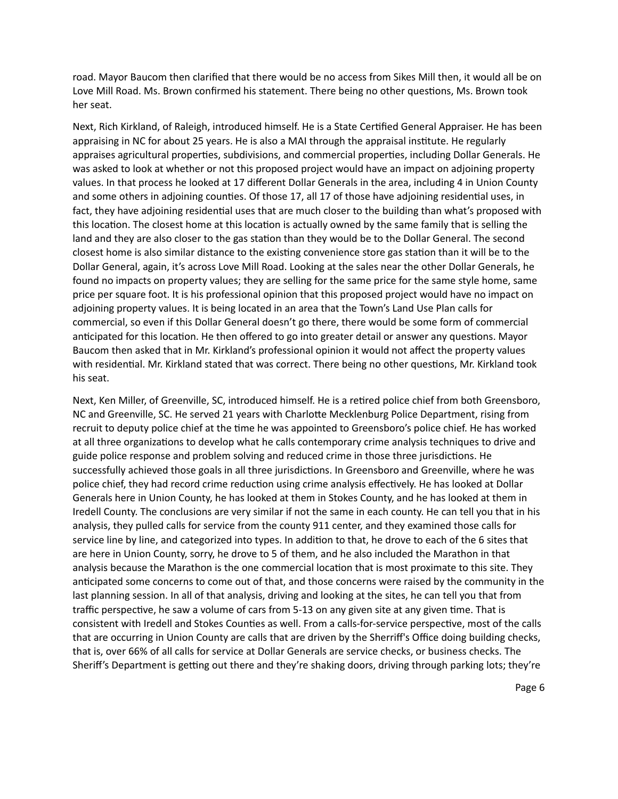road. Mayor Baucom then clarified that there would be no access from Sikes Mill then, it would all be on Love Mill Road. Ms. Brown confirmed his statement. There being no other questions, Ms. Brown took her seat.

Next, Rich Kirkland, of Raleigh, introduced himself. He is a State Certified General Appraiser. He has been appraising in NC for about 25 years. He is also a MAI through the appraisal institute. He regularly appraises agricultural properties, subdivisions, and commercial properties, including Dollar Generals. He was asked to look at whether or not this proposed project would have an impact on adjoining property values. In that process he looked at 17 different Dollar Generals in the area, including 4 in Union County and some others in adjoining counties. Of those 17, all 17 of those have adjoining residential uses, in fact, they have adjoining residential uses that are much closer to the building than what's proposed with this location. The closest home at this location is actually owned by the same family that is selling the land and they are also closer to the gas station than they would be to the Dollar General. The second closest home is also similar distance to the existing convenience store gas station than it will be to the Dollar General, again, it's across Love Mill Road. Looking at the sales near the other Dollar Generals, he found no impacts on property values; they are selling for the same price for the same style home, same price per square foot. It is his professional opinion that this proposed project would have no impact on adjoining property values. It is being located in an area that the Town's Land Use Plan calls for commercial, so even if this Dollar General doesn't go there, there would be some form of commercial anticipated for this location. He then offered to go into greater detail or answer any questions. Mayor Baucom then asked that in Mr. Kirkland's professional opinion it would not affect the property values with residential. Mr. Kirkland stated that was correct. There being no other questions, Mr. Kirkland took his seat.

Next, Ken Miller, of Greenville, SC, introduced himself. He is a retired police chief from both Greensboro, NC and Greenville, SC. He served 21 years with Charlotte Mecklenburg Police Department, rising from recruit to deputy police chief at the time he was appointed to Greensboro's police chief. He has worked at all three organizations to develop what he calls contemporary crime analysis techniques to drive and guide police response and problem solving and reduced crime in those three jurisdictions. He successfully achieved those goals in all three jurisdictions. In Greensboro and Greenville, where he was police chief, they had record crime reduction using crime analysis effectively. He has looked at Dollar Generals here in Union County, he has looked at them in Stokes County, and he has looked at them in Iredell County. The conclusions are very similar if not the same in each county. He can tell you that in his analysis, they pulled calls for service from the county 911 center, and they examined those calls for service line by line, and categorized into types. In addition to that, he drove to each of the 6 sites that are here in Union County, sorry, he drove to 5 of them, and he also included the Marathon in that analysis because the Marathon is the one commercial location that is most proximate to this site. They anticipated some concerns to come out of that, and those concerns were raised by the community in the last planning session. In all of that analysis, driving and looking at the sites, he can tell you that from traffic perspective, he saw a volume of cars from 5-13 on any given site at any given time. That is consistent with Iredell and Stokes Counties as well. From a calls-for-service perspective, most of the calls that are occurring in Union County are calls that are driven by the Sherriff's Office doing building checks, that is, over 66% of all calls for service at Dollar Generals are service checks, or business checks. The Sheriff's Department is getting out there and they're shaking doors, driving through parking lots; they're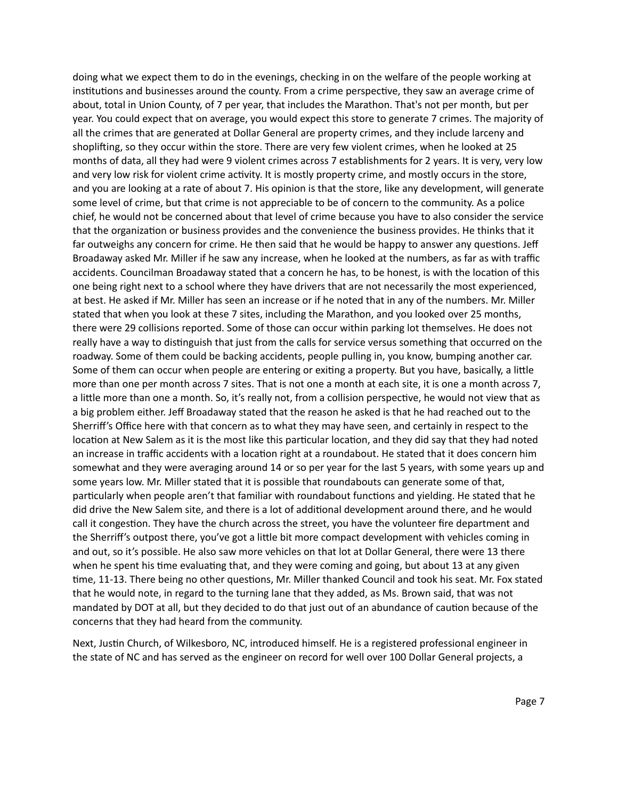doing what we expect them to do in the evenings, checking in on the welfare of the people working at institutions and businesses around the county. From a crime perspective, they saw an average crime of about, total in Union County, of 7 per year, that includes the Marathon. That's not per month, but per year. You could expect that on average, you would expect this store to generate 7 crimes. The majority of all the crimes that are generated at Dollar General are property crimes, and they include larceny and shoplifting, so they occur within the store. There are very few violent crimes, when he looked at 25 months of data, all they had were 9 violent crimes across 7 establishments for 2 years. It is very, very low and very low risk for violent crime activity. It is mostly property crime, and mostly occurs in the store, and you are looking at a rate of about 7. His opinion is that the store, like any development, will generate some level of crime, but that crime is not appreciable to be of concern to the community. As a police chief, he would not be concerned about that level of crime because you have to also consider the service that the organization or business provides and the convenience the business provides. He thinks that it far outweighs any concern for crime. He then said that he would be happy to answer any questions. Jeff Broadaway asked Mr. Miller if he saw any increase, when he looked at the numbers, as far as with traffic accidents. Councilman Broadaway stated that a concern he has, to be honest, is with the location of this one being right next to a school where they have drivers that are not necessarily the most experienced, at best. He asked if Mr. Miller has seen an increase or if he noted that in any of the numbers. Mr. Miller stated that when you look at these 7 sites, including the Marathon, and you looked over 25 months, there were 29 collisions reported. Some of those can occur within parking lot themselves. He does not really have a way to distinguish that just from the calls for service versus something that occurred on the roadway. Some of them could be backing accidents, people pulling in, you know, bumping another car. Some of them can occur when people are entering or exiting a property. But you have, basically, a little more than one per month across 7 sites. That is not one a month at each site, it is one a month across 7, a little more than one a month. So, it's really not, from a collision perspective, he would not view that as a big problem either. Jeff Broadaway stated that the reason he asked is that he had reached out to the Sherriff's Office here with that concern as to what they may have seen, and certainly in respect to the location at New Salem as it is the most like this particular location, and they did say that they had noted an increase in traffic accidents with a location right at a roundabout. He stated that it does concern him somewhat and they were averaging around 14 or so per year for the last 5 years, with some years up and some years low. Mr. Miller stated that it is possible that roundabouts can generate some of that, particularly when people aren't that familiar with roundabout functions and yielding. He stated that he did drive the New Salem site, and there is a lot of additional development around there, and he would call it congestion. They have the church across the street, you have the volunteer fire department and the Sherriff's outpost there, you've got a little bit more compact development with vehicles coming in and out, so it's possible. He also saw more vehicles on that lot at Dollar General, there were 13 there when he spent his time evaluating that, and they were coming and going, but about 13 at any given time, 11-13. There being no other questions, Mr. Miller thanked Council and took his seat. Mr. Fox stated that he would note, in regard to the turning lane that they added, as Ms. Brown said, that was not mandated by DOT at all, but they decided to do that just out of an abundance of caution because of the concerns that they had heard from the community.

Next, Justin Church, of Wilkesboro, NC, introduced himself. He is a registered professional engineer in the state of NC and has served as the engineer on record for well over 100 Dollar General projects, a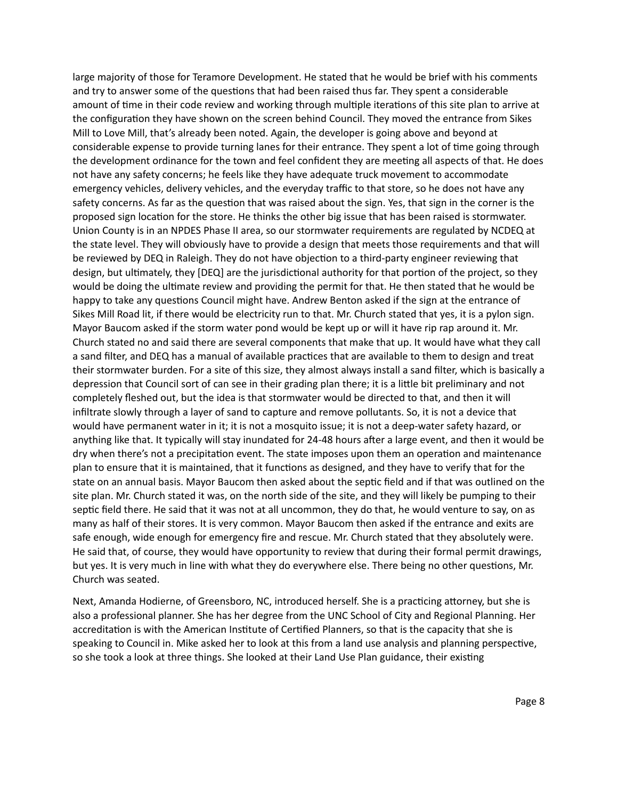large majority of those for Teramore Development. He stated that he would be brief with his comments and try to answer some of the questions that had been raised thus far. They spent a considerable amount of time in their code review and working through multiple iterations of this site plan to arrive at the configuration they have shown on the screen behind Council. They moved the entrance from Sikes Mill to Love Mill, that's already been noted. Again, the developer is going above and beyond at considerable expense to provide turning lanes for their entrance. They spent a lot of time going through the development ordinance for the town and feel confident they are meeting all aspects of that. He does not have any safety concerns; he feels like they have adequate truck movement to accommodate emergency vehicles, delivery vehicles, and the everyday traffic to that store, so he does not have any safety concerns. As far as the question that was raised about the sign. Yes, that sign in the corner is the proposed sign location for the store. He thinks the other big issue that has been raised is stormwater. Union County is in an NPDES Phase II area, so our stormwater requirements are regulated by NCDEQ at the state level. They will obviously have to provide a design that meets those requirements and that will be reviewed by DEQ in Raleigh. They do not have objection to a third-party engineer reviewing that design, but ultimately, they [DEQ] are the jurisdictional authority for that portion of the project, so they would be doing the ultimate review and providing the permit for that. He then stated that he would be happy to take any questions Council might have. Andrew Benton asked if the sign at the entrance of Sikes Mill Road lit, if there would be electricity run to that. Mr. Church stated that yes, it is a pylon sign. Mayor Baucom asked if the storm water pond would be kept up or will it have rip rap around it. Mr. Church stated no and said there are several components that make that up. It would have what they call a sand filter, and DEQ has a manual of available practices that are available to them to design and treat their stormwater burden. For a site of this size, they almost always install a sand filter, which is basically a depression that Council sort of can see in their grading plan there; it is a little bit preliminary and not completely fleshed out, but the idea is that stormwater would be directed to that, and then it will infiltrate slowly through a layer of sand to capture and remove pollutants. So, it is not a device that would have permanent water in it; it is not a mosquito issue; it is not a deep-water safety hazard, or anything like that. It typically will stay inundated for 24-48 hours after a large event, and then it would be dry when there's not a precipitation event. The state imposes upon them an operation and maintenance plan to ensure that it is maintained, that it functions as designed, and they have to verify that for the state on an annual basis. Mayor Baucom then asked about the septic field and if that was outlined on the site plan. Mr. Church stated it was, on the north side of the site, and they will likely be pumping to their septic field there. He said that it was not at all uncommon, they do that, he would venture to say, on as many as half of their stores. It is very common. Mayor Baucom then asked if the entrance and exits are safe enough, wide enough for emergency fire and rescue. Mr. Church stated that they absolutely were. He said that, of course, they would have opportunity to review that during their formal permit drawings, but yes. It is very much in line with what they do everywhere else. There being no other questions, Mr. Church was seated.

Next, Amanda Hodierne, of Greensboro, NC, introduced herself. She is a practicing attorney, but she is also a professional planner. She has her degree from the UNC School of City and Regional Planning. Her accreditation is with the American Institute of Certified Planners, so that is the capacity that she is speaking to Council in. Mike asked her to look at this from a land use analysis and planning perspective, so she took a look at three things. She looked at their Land Use Plan guidance, their existing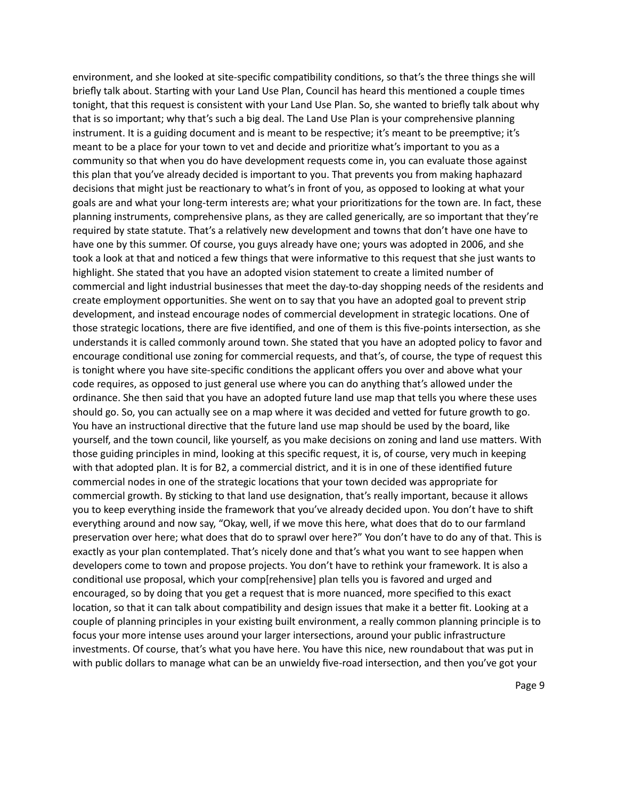environment, and she looked at site-specific compatibility conditions, so that's the three things she will briefly talk about. Starting with your Land Use Plan, Council has heard this mentioned a couple times tonight, that this request is consistent with your Land Use Plan. So, she wanted to briefly talk about why that is so important; why that's such a big deal. The Land Use Plan is your comprehensive planning instrument. It is a guiding document and is meant to be respective; it's meant to be preemptive; it's meant to be a place for your town to vet and decide and prioritize what's important to you as a community so that when you do have development requests come in, you can evaluate those against this plan that you've already decided is important to you. That prevents you from making haphazard decisions that might just be reactionary to what's in front of you, as opposed to looking at what your goals are and what your long-term interests are; what your prioritizations for the town are. In fact, these planning instruments, comprehensive plans, as they are called generically, are so important that they're required by state statute. That's a relatively new development and towns that don't have one have to have one by this summer. Of course, you guys already have one; yours was adopted in 2006, and she took a look at that and noticed a few things that were informative to this request that she just wants to highlight. She stated that you have an adopted vision statement to create a limited number of commercial and light industrial businesses that meet the day-to-day shopping needs of the residents and create employment opportunities. She went on to say that you have an adopted goal to prevent strip development, and instead encourage nodes of commercial development in strategic locations. One of those strategic locations, there are five identified, and one of them is this five-points intersection, as she understands it is called commonly around town. She stated that you have an adopted policy to favor and encourage conditional use zoning for commercial requests, and that's, of course, the type of request this is tonight where you have site-specific conditions the applicant offers you over and above what your code requires, as opposed to just general use where you can do anything that's allowed under the ordinance. She then said that you have an adopted future land use map that tells you where these uses should go. So, you can actually see on a map where it was decided and vetted for future growth to go. You have an instructional directive that the future land use map should be used by the board, like yourself, and the town council, like yourself, as you make decisions on zoning and land use matters. With those guiding principles in mind, looking at this specific request, it is, of course, very much in keeping with that adopted plan. It is for B2, a commercial district, and it is in one of these identified future commercial nodes in one of the strategic locations that your town decided was appropriate for commercial growth. By sticking to that land use designation, that's really important, because it allows you to keep everything inside the framework that you've already decided upon. You don't have to shift everything around and now say, "Okay, well, if we move this here, what does that do to our farmland preservation over here; what does that do to sprawl over here?" You don't have to do any of that. This is exactly as your plan contemplated. That's nicely done and that's what you want to see happen when developers come to town and propose projects. You don't have to rethink your framework. It is also a conditional use proposal, which your comp[rehensive] plan tells you is favored and urged and encouraged, so by doing that you get a request that is more nuanced, more specified to this exact location, so that it can talk about compatibility and design issues that make it a better fit. Looking at a couple of planning principles in your existing built environment, a really common planning principle is to focus your more intense uses around your larger intersections, around your public infrastructure investments. Of course, that's what you have here. You have this nice, new roundabout that was put in with public dollars to manage what can be an unwieldy five-road intersection, and then you've got your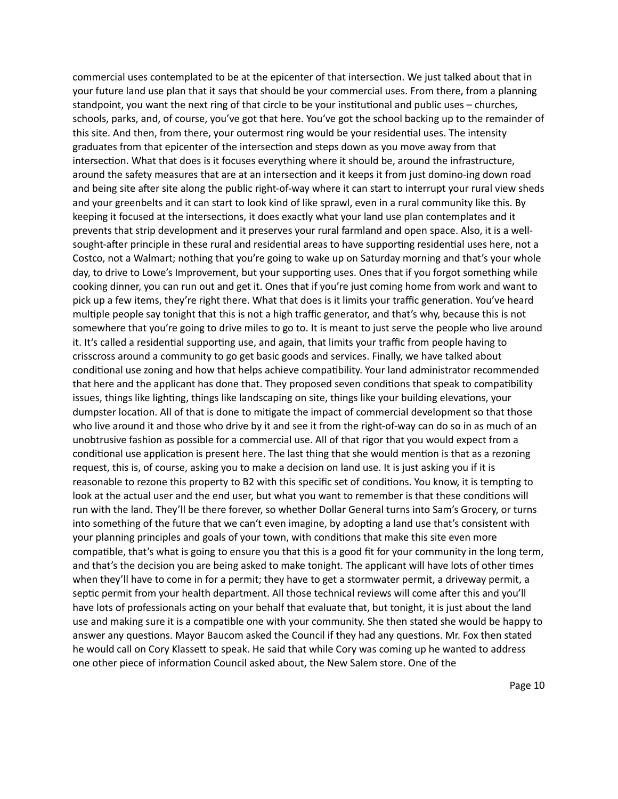commercial uses contemplated to be at the epicenter of that intersection. We just talked about that in your future land use plan that it says that should be your commercial uses. From there, from a planning standpoint, you want the next ring of that circle to be your institutional and public uses – churches, schools, parks, and, of course, you've got that here. You've got the school backing up to the remainder of this site. And then, from there, your outermost ring would be your residential uses. The intensity graduates from that epicenter of the intersection and steps down as you move away from that intersection. What that does is it focuses everything where it should be, around the infrastructure, around the safety measures that are at an intersection and it keeps it from just domino-ing down road and being site after site along the public right-of-way where it can start to interrupt your rural view sheds and your greenbelts and it can start to look kind of like sprawl, even in a rural community like this. By keeping it focused at the intersections, it does exactly what your land use plan contemplates and it prevents that strip development and it preserves your rural farmland and open space. Also, it is a wellsought-after principle in these rural and residential areas to have supporting residential uses here, not a Costco, not a Walmart; nothing that you're going to wake up on Saturday morning and that's your whole day, to drive to Lowe's Improvement, but your supporting uses. Ones that if you forgot something while cooking dinner, you can run out and get it. Ones that if you're just coming home from work and want to pick up a few items, they're right there. What that does is it limits your traffic generation. You've heard multiple people say tonight that this is not a high traffic generator, and that's why, because this is not somewhere that you're going to drive miles to go to. It is meant to just serve the people who live around it. It's called a residential supporting use, and again, that limits your traffic from people having to crisscross around a community to go get basic goods and services. Finally, we have talked about conditional use zoning and how that helps achieve compatibility. Your land administrator recommended that here and the applicant has done that. They proposed seven conditions that speak to compatibility issues, things like lighting, things like landscaping on site, things like your building elevations, your dumpster location. All of that is done to mitigate the impact of commercial development so that those who live around it and those who drive by it and see it from the right-of-way can do so in as much of an unobtrusive fashion as possible for a commercial use. All of that rigor that you would expect from a conditional use application is present here. The last thing that she would mention is that as a rezoning request, this is, of course, asking you to make a decision on land use. It is just asking you if it is reasonable to rezone this property to B2 with this specific set of conditions. You know, it is tempting to look at the actual user and the end user, but what you want to remember is that these conditions will run with the land. They'll be there forever, so whether Dollar General turns into Sam's Grocery, or turns into something of the future that we can't even imagine, by adopting a land use that's consistent with your planning principles and goals of your town, with conditions that make this site even more compatible, that's what is going to ensure you that this is a good fit for your community in the long term, and that's the decision you are being asked to make tonight. The applicant will have lots of other times when they'll have to come in for a permit; they have to get a stormwater permit, a driveway permit, a septic permit from your health department. All those technical reviews will come after this and you'll have lots of professionals acting on your behalf that evaluate that, but tonight, it is just about the land use and making sure it is a compatible one with your community. She then stated she would be happy to answer any questions. Mayor Baucom asked the Council if they had any questions. Mr. Fox then stated he would call on Cory Klassett to speak. He said that while Cory was coming up he wanted to address one other piece of information Council asked about, the New Salem store. One of the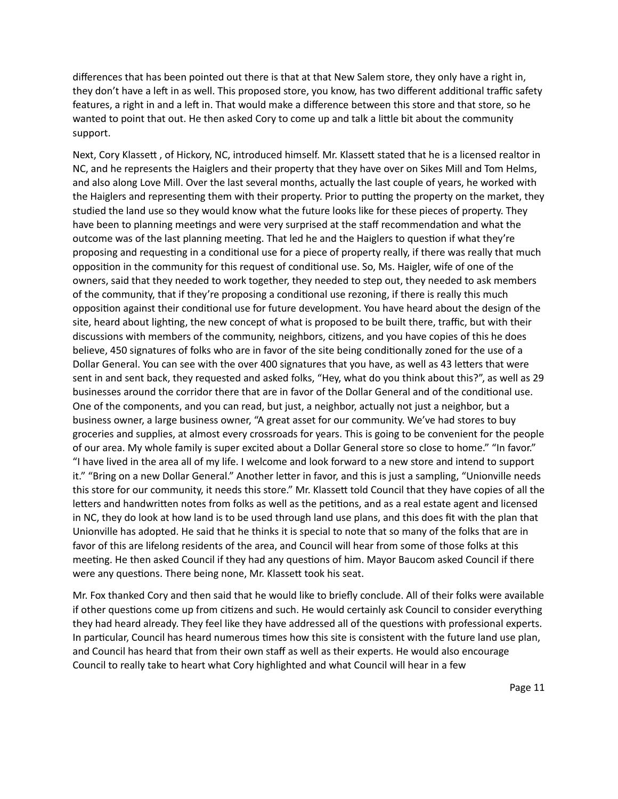differences that has been pointed out there is that at that New Salem store, they only have a right in, they don't have a left in as well. This proposed store, you know, has two different additional traffic safety features, a right in and a left in. That would make a difference between this store and that store, so he wanted to point that out. He then asked Cory to come up and talk a little bit about the community support.

Next, Cory Klassett, of Hickory, NC, introduced himself. Mr. Klassett stated that he is a licensed realtor in NC, and he represents the Haiglers and their property that they have over on Sikes Mill and Tom Helms, and also along Love Mill. Over the last several months, actually the last couple of years, he worked with the Haiglers and representing them with their property. Prior to putting the property on the market, they studied the land use so they would know what the future looks like for these pieces of property. They have been to planning meetings and were very surprised at the staff recommendation and what the outcome was of the last planning meeting. That led he and the Haiglers to question if what they're proposing and requesting in a conditional use for a piece of property really, if there was really that much opposition in the community for this request of conditional use. So, Ms. Haigler, wife of one of the owners, said that they needed to work together, they needed to step out, they needed to ask members of the community, that if they're proposing a conditional use rezoning, if there is really this much opposition against their conditional use for future development. You have heard about the design of the site, heard about lighting, the new concept of what is proposed to be built there, traffic, but with their discussions with members of the community, neighbors, citizens, and you have copies of this he does believe, 450 signatures of folks who are in favor of the site being conditionally zoned for the use of a Dollar General. You can see with the over 400 signatures that you have, as well as 43 letters that were sent in and sent back, they requested and asked folks, "Hey, what do you think about this?", as well as 29 businesses around the corridor there that are in favor of the Dollar General and of the conditional use. One of the components, and you can read, but just, a neighbor, actually not just a neighbor, but a business owner, a large business owner, "A great asset for our community. We've had stores to buy groceries and supplies, at almost every crossroads for years. This is going to be convenient for the people of our area. My whole family is super excited about a Dollar General store so close to home." "In favor." "I have lived in the area all of my life. I welcome and look forward to a new store and intend to support it." "Bring on a new Dollar General." Another letter in favor, and this is just a sampling, "Unionville needs this store for our community, it needs this store." Mr. Klassett told Council that they have copies of all the letters and handwritten notes from folks as well as the petitions, and as a real estate agent and licensed in NC, they do look at how land is to be used through land use plans, and this does fit with the plan that Unionville has adopted. He said that he thinks it is special to note that so many of the folks that are in favor of this are lifelong residents of the area, and Council will hear from some of those folks at this meeting. He then asked Council if they had any questions of him. Mayor Baucom asked Council if there were any questions. There being none, Mr. Klassett took his seat.

Mr. Fox thanked Cory and then said that he would like to briefly conclude. All of their folks were available if other questions come up from citizens and such. He would certainly ask Council to consider everything they had heard already. They feel like they have addressed all of the questions with professional experts. In particular, Council has heard numerous times how this site is consistent with the future land use plan, and Council has heard that from their own staff as well as their experts. He would also encourage Council to really take to heart what Cory highlighted and what Council will hear in a few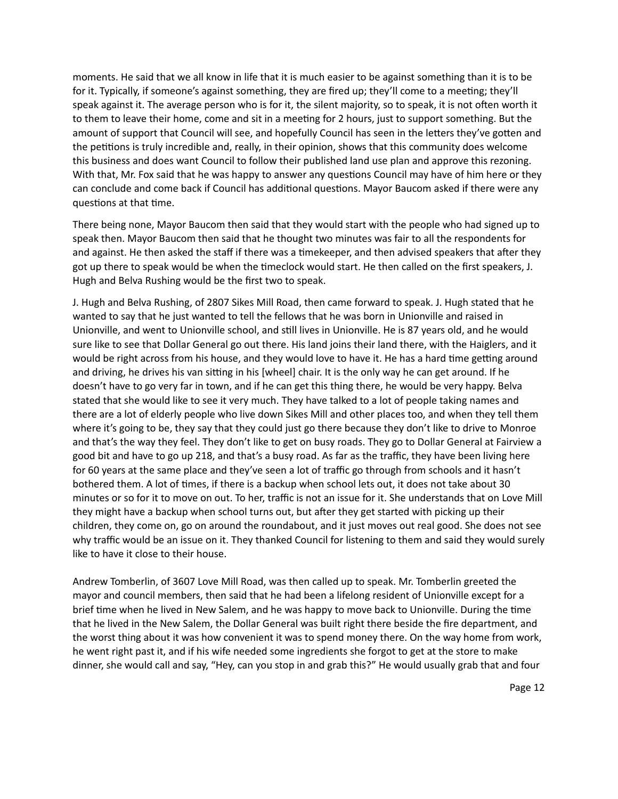moments. He said that we all know in life that it is much easier to be against something than it is to be for it. Typically, if someone's against something, they are fired up; they'll come to a meeting; they'll speak against it. The average person who is for it, the silent majority, so to speak, it is not often worth it to them to leave their home, come and sit in a meeting for 2 hours, just to support something. But the amount of support that Council will see, and hopefully Council has seen in the letters they've gotten and the petitions is truly incredible and, really, in their opinion, shows that this community does welcome this business and does want Council to follow their published land use plan and approve this rezoning. With that, Mr. Fox said that he was happy to answer any questions Council may have of him here or they can conclude and come back if Council has additional questions. Mayor Baucom asked if there were any questions at that time.

There being none, Mayor Baucom then said that they would start with the people who had signed up to speak then. Mayor Baucom then said that he thought two minutes was fair to all the respondents for and against. He then asked the staff if there was a timekeeper, and then advised speakers that after they got up there to speak would be when the timeclock would start. He then called on the first speakers, J. Hugh and Belva Rushing would be the first two to speak.

J. Hugh and Belva Rushing, of 2807 Sikes Mill Road, then came forward to speak. J. Hugh stated that he wanted to say that he just wanted to tell the fellows that he was born in Unionville and raised in Unionville, and went to Unionville school, and still lives in Unionville. He is 87 years old, and he would sure like to see that Dollar General go out there. His land joins their land there, with the Haiglers, and it would be right across from his house, and they would love to have it. He has a hard time getting around and driving, he drives his van sitting in his [wheel] chair. It is the only way he can get around. If he doesn't have to go very far in town, and if he can get this thing there, he would be very happy. Belva stated that she would like to see it very much. They have talked to a lot of people taking names and there are a lot of elderly people who live down Sikes Mill and other places too, and when they tell them where it's going to be, they say that they could just go there because they don't like to drive to Monroe and that's the way they feel. They don't like to get on busy roads. They go to Dollar General at Fairview a good bit and have to go up 218, and that's a busy road. As far as the traffic, they have been living here for 60 years at the same place and they've seen a lot of traffic go through from schools and it hasn't bothered them. A lot of times, if there is a backup when school lets out, it does not take about 30 minutes or so for it to move on out. To her, traffic is not an issue for it. She understands that on Love Mill they might have a backup when school turns out, but after they get started with picking up their children, they come on, go on around the roundabout, and it just moves out real good. She does not see why traffic would be an issue on it. They thanked Council for listening to them and said they would surely like to have it close to their house.

Andrew Tomberlin, of 3607 Love Mill Road, was then called up to speak. Mr. Tomberlin greeted the mayor and council members, then said that he had been a lifelong resident of Unionville except for a brief time when he lived in New Salem, and he was happy to move back to Unionville. During the time that he lived in the New Salem, the Dollar General was built right there beside the fire department, and the worst thing about it was how convenient it was to spend money there. On the way home from work, he went right past it, and if his wife needed some ingredients she forgot to get at the store to make dinner, she would call and say, "Hey, can you stop in and grab this?" He would usually grab that and four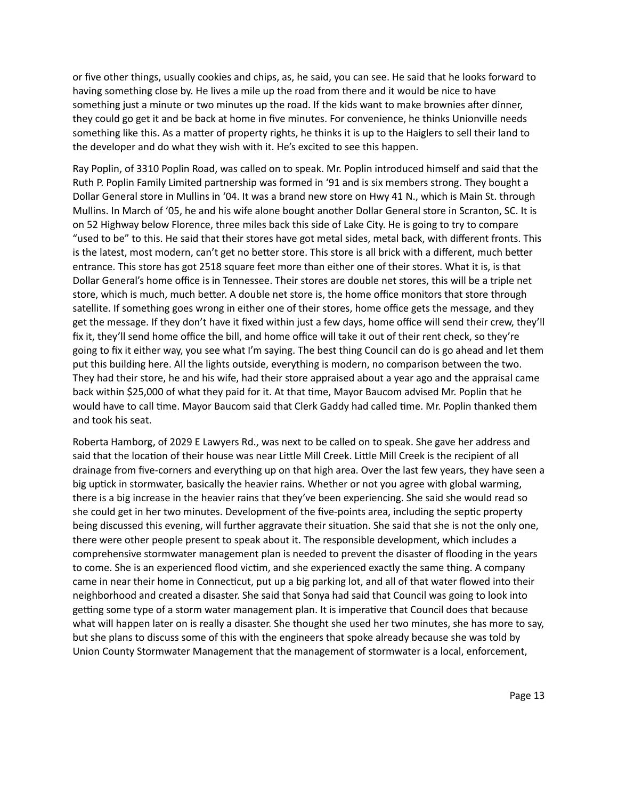or five other things, usually cookies and chips, as, he said, you can see. He said that he looks forward to having something close by. He lives a mile up the road from there and it would be nice to have something just a minute or two minutes up the road. If the kids want to make brownies after dinner, they could go get it and be back at home in five minutes. For convenience, he thinks Unionville needs something like this. As a matter of property rights, he thinks it is up to the Haiglers to sell their land to the developer and do what they wish with it. He's excited to see this happen.

Ray Poplin, of 3310 Poplin Road, was called on to speak. Mr. Poplin introduced himself and said that the Ruth P. Poplin Family Limited partnership was formed in '91 and is six members strong. They bought a Dollar General store in Mullins in '04. It was a brand new store on Hwy 41 N., which is Main St. through Mullins. In March of '05, he and his wife alone bought another Dollar General store in Scranton, SC. It is on 52 Highway below Florence, three miles back this side of Lake City. He is going to try to compare "used to be" to this. He said that their stores have got metal sides, metal back, with different fronts. This is the latest, most modern, can't get no better store. This store is all brick with a different, much better entrance. This store has got 2518 square feet more than either one of their stores. What it is, is that Dollar General's home office is in Tennessee. Their stores are double net stores, this will be a triple net store, which is much, much better. A double net store is, the home office monitors that store through satellite. If something goes wrong in either one of their stores, home office gets the message, and they get the message. If they don't have it fixed within just a few days, home office will send their crew, they'll fix it, they'll send home office the bill, and home office will take it out of their rent check, so they're going to fix it either way, you see what I'm saying. The best thing Council can do is go ahead and let them put this building here. All the lights outside, everything is modern, no comparison between the two. They had their store, he and his wife, had their store appraised about a year ago and the appraisal came back within \$25,000 of what they paid for it. At that time, Mayor Baucom advised Mr. Poplin that he would have to call time. Mayor Baucom said that Clerk Gaddy had called time. Mr. Poplin thanked them and took his seat.

Roberta Hamborg, of 2029 E Lawyers Rd., was next to be called on to speak. She gave her address and said that the location of their house was near Little Mill Creek. Little Mill Creek is the recipient of all drainage from five-corners and everything up on that high area. Over the last few years, they have seen a big uptick in stormwater, basically the heavier rains. Whether or not you agree with global warming, there is a big increase in the heavier rains that they've been experiencing. She said she would read so she could get in her two minutes. Development of the five-points area, including the septic property being discussed this evening, will further aggravate their situation. She said that she is not the only one, there were other people present to speak about it. The responsible development, which includes a comprehensive stormwater management plan is needed to prevent the disaster of flooding in the years to come. She is an experienced flood victim, and she experienced exactly the same thing. A company came in near their home in Connecticut, put up a big parking lot, and all of that water flowed into their neighborhood and created a disaster. She said that Sonya had said that Council was going to look into getting some type of a storm water management plan. It is imperative that Council does that because what will happen later on is really a disaster. She thought she used her two minutes, she has more to say, but she plans to discuss some of this with the engineers that spoke already because she was told by Union County Stormwater Management that the management of stormwater is a local, enforcement,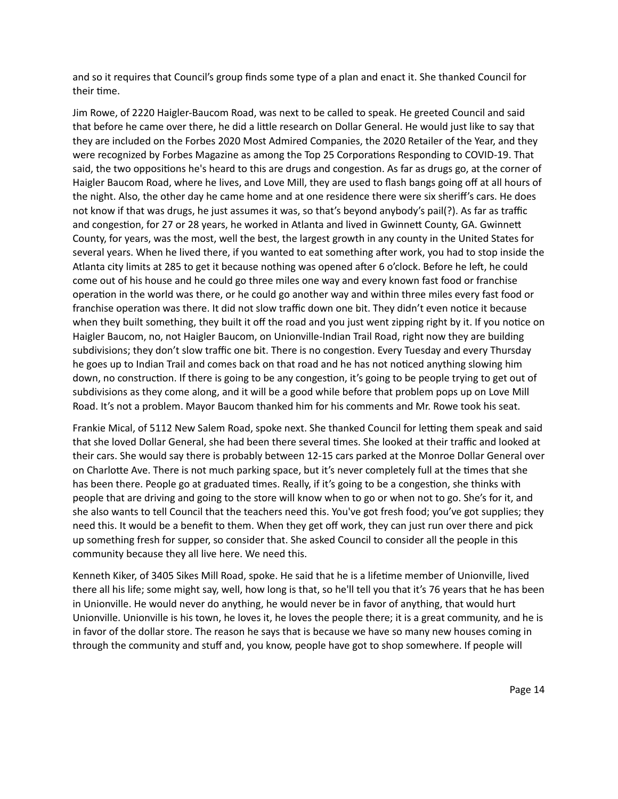and so it requires that Council's group finds some type of a plan and enact it. She thanked Council for their time.

Jim Rowe, of 2220 Haigler-Baucom Road, was next to be called to speak. He greeted Council and said that before he came over there, he did a little research on Dollar General. He would just like to say that they are included on the Forbes 2020 Most Admired Companies, the 2020 Retailer of the Year, and they were recognized by Forbes Magazine as among the Top 25 Corporations Responding to COVID-19. That said, the two oppositions he's heard to this are drugs and congestion. As far as drugs go, at the corner of Haigler Baucom Road, where he lives, and Love Mill, they are used to flash bangs going off at all hours of the night. Also, the other day he came home and at one residence there were six sheriff's cars. He does not know if that was drugs, he just assumes it was, so that's beyond anybody's pail(?). As far as traffic and congestion, for 27 or 28 years, he worked in Atlanta and lived in Gwinnett County, GA. Gwinnett County, for years, was the most, well the best, the largest growth in any county in the United States for several years. When he lived there, if you wanted to eat something after work, you had to stop inside the Atlanta city limits at 285 to get it because nothing was opened after 6 o'clock. Before he left, he could come out of his house and he could go three miles one way and every known fast food or franchise operation in the world was there, or he could go another way and within three miles every fast food or franchise operation was there. It did not slow traffic down one bit. They didn't even notice it because when they built something, they built it off the road and you just went zipping right by it. If you notice on Haigler Baucom, no, not Haigler Baucom, on Unionville-Indian Trail Road, right now they are building subdivisions; they don't slow traffic one bit. There is no congestion. Every Tuesday and every Thursday he goes up to Indian Trail and comes back on that road and he has not noticed anything slowing him down, no construction. If there is going to be any congestion, it's going to be people trying to get out of subdivisions as they come along, and it will be a good while before that problem pops up on Love Mill Road. It's not a problem. Mayor Baucom thanked him for his comments and Mr. Rowe took his seat.

Frankie Mical, of 5112 New Salem Road, spoke next. She thanked Council for letting them speak and said that she loved Dollar General, she had been there several times. She looked at their traffic and looked at their cars. She would say there is probably between 12-15 cars parked at the Monroe Dollar General over on Charlotte Ave. There is not much parking space, but it's never completely full at the times that she has been there. People go at graduated times. Really, if it's going to be a congestion, she thinks with people that are driving and going to the store will know when to go or when not to go. She's for it, and she also wants to tell Council that the teachers need this. You've got fresh food; you've got supplies; they need this. It would be a benefit to them. When they get off work, they can just run over there and pick up something fresh for supper, so consider that. She asked Council to consider all the people in this community because they all live here. We need this.

Kenneth Kiker, of 3405 Sikes Mill Road, spoke. He said that he is a lifetime member of Unionville, lived there all his life; some might say, well, how long is that, so he'll tell you that it's 76 years that he has been in Unionville. He would never do anything, he would never be in favor of anything, that would hurt Unionville. Unionville is his town, he loves it, he loves the people there; it is a great community, and he is in favor of the dollar store. The reason he says that is because we have so many new houses coming in through the community and stuff and, you know, people have got to shop somewhere. If people will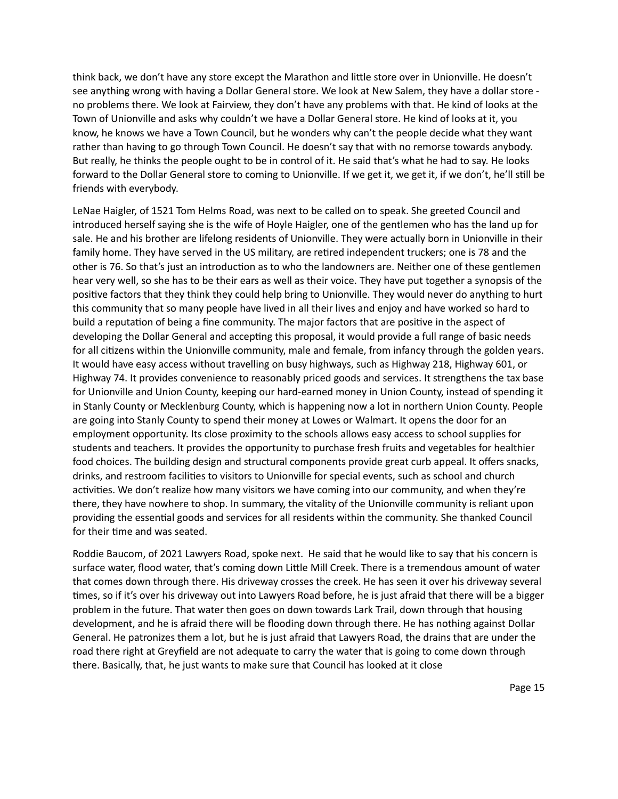think back, we don't have any store except the Marathon and little store over in Unionville. He doesn't see anything wrong with having a Dollar General store. We look at New Salem, they have a dollar store no problems there. We look at Fairview, they don't have any problems with that. He kind of looks at the Town of Unionville and asks why couldn't we have a Dollar General store. He kind of looks at it, you know, he knows we have a Town Council, but he wonders why can't the people decide what they want rather than having to go through Town Council. He doesn't say that with no remorse towards anybody. But really, he thinks the people ought to be in control of it. He said that's what he had to say. He looks forward to the Dollar General store to coming to Unionville. If we get it, we get it, if we don't, he'll still be friends with everybody.

LeNae Haigler, of 1521 Tom Helms Road, was next to be called on to speak. She greeted Council and introduced herself saying she is the wife of Hoyle Haigler, one of the gentlemen who has the land up for sale. He and his brother are lifelong residents of Unionville. They were actually born in Unionville in their family home. They have served in the US military, are retired independent truckers; one is 78 and the other is 76. So that's just an introduction as to who the landowners are. Neither one of these gentlemen hear very well, so she has to be their ears as well as their voice. They have put together a synopsis of the positive factors that they think they could help bring to Unionville. They would never do anything to hurt this community that so many people have lived in all their lives and enjoy and have worked so hard to build a reputation of being a fine community. The major factors that are positive in the aspect of developing the Dollar General and accepting this proposal, it would provide a full range of basic needs for all citizens within the Unionville community, male and female, from infancy through the golden years. It would have easy access without travelling on busy highways, such as Highway 218, Highway 601, or Highway 74. It provides convenience to reasonably priced goods and services. It strengthens the tax base for Unionville and Union County, keeping our hard-earned money in Union County, instead of spending it in Stanly County or Mecklenburg County, which is happening now a lot in northern Union County. People are going into Stanly County to spend their money at Lowes or Walmart. It opens the door for an employment opportunity. Its close proximity to the schools allows easy access to school supplies for students and teachers. It provides the opportunity to purchase fresh fruits and vegetables for healthier food choices. The building design and structural components provide great curb appeal. It offers snacks, drinks, and restroom facilities to visitors to Unionville for special events, such as school and church activities. We don't realize how many visitors we have coming into our community, and when they're there, they have nowhere to shop. In summary, the vitality of the Unionville community is reliant upon providing the essential goods and services for all residents within the community. She thanked Council for their time and was seated.

Roddie Baucom, of 2021 Lawyers Road, spoke next. He said that he would like to say that his concern is surface water, flood water, that's coming down Little Mill Creek. There is a tremendous amount of water that comes down through there. His driveway crosses the creek. He has seen it over his driveway several times, so if it's over his driveway out into Lawyers Road before, he is just afraid that there will be a bigger problem in the future. That water then goes on down towards Lark Trail, down through that housing development, and he is afraid there will be flooding down through there. He has nothing against Dollar General. He patronizes them a lot, but he is just afraid that Lawyers Road, the drains that are under the road there right at Greyfield are not adequate to carry the water that is going to come down through there. Basically, that, he just wants to make sure that Council has looked at it close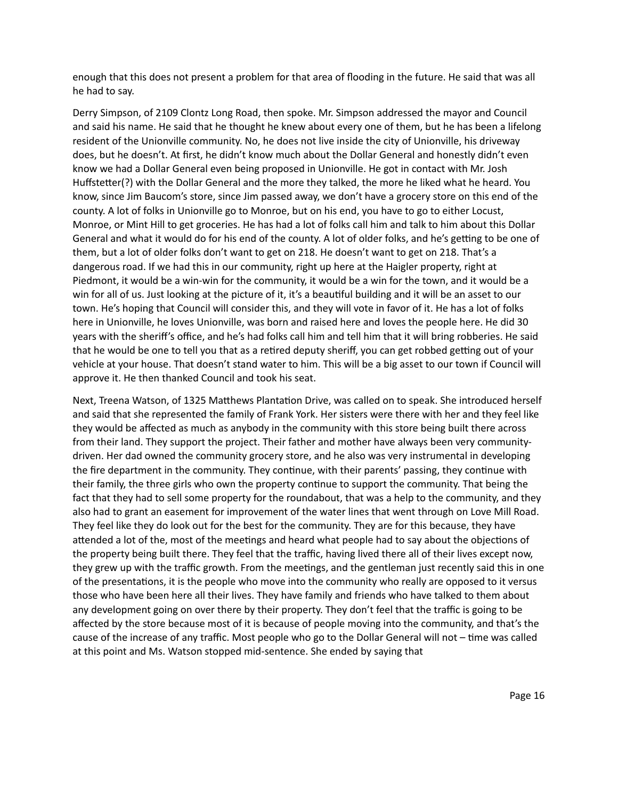enough that this does not present a problem for that area of flooding in the future. He said that was all he had to say.

Derry Simpson, of 2109 Clontz Long Road, then spoke. Mr. Simpson addressed the mayor and Council and said his name. He said that he thought he knew about every one of them, but he has been a lifelong resident of the Unionville community. No, he does not live inside the city of Unionville, his driveway does, but he doesn't. At first, he didn't know much about the Dollar General and honestly didn't even know we had a Dollar General even being proposed in Unionville. He got in contact with Mr. Josh Huffstetter(?) with the Dollar General and the more they talked, the more he liked what he heard. You know, since Jim Baucom's store, since Jim passed away, we don't have a grocery store on this end of the county. A lot of folks in Unionville go to Monroe, but on his end, you have to go to either Locust, Monroe, or Mint Hill to get groceries. He has had a lot of folks call him and talk to him about this Dollar General and what it would do for his end of the county. A lot of older folks, and he's getting to be one of them, but a lot of older folks don't want to get on 218. He doesn't want to get on 218. That's a dangerous road. If we had this in our community, right up here at the Haigler property, right at Piedmont, it would be a win-win for the community, it would be a win for the town, and it would be a win for all of us. Just looking at the picture of it, it's a beautiful building and it will be an asset to our town. He's hoping that Council will consider this, and they will vote in favor of it. He has a lot of folks here in Unionville, he loves Unionville, was born and raised here and loves the people here. He did 30 years with the sheriff's office, and he's had folks call him and tell him that it will bring robberies. He said that he would be one to tell you that as a retired deputy sheriff, you can get robbed getting out of your vehicle at your house. That doesn't stand water to him. This will be a big asset to our town if Council will approve it. He then thanked Council and took his seat.

Next, Treena Watson, of 1325 Matthews Plantation Drive, was called on to speak. She introduced herself and said that she represented the family of Frank York. Her sisters were there with her and they feel like they would be affected as much as anybody in the community with this store being built there across from their land. They support the project. Their father and mother have always been very communitydriven. Her dad owned the community grocery store, and he also was very instrumental in developing the fire department in the community. They continue, with their parents' passing, they continue with their family, the three girls who own the property continue to support the community. That being the fact that they had to sell some property for the roundabout, that was a help to the community, and they also had to grant an easement for improvement of the water lines that went through on Love Mill Road. They feel like they do look out for the best for the community. They are for this because, they have attended a lot of the, most of the meetings and heard what people had to say about the objections of the property being built there. They feel that the traffic, having lived there all of their lives except now, they grew up with the traffic growth. From the meetings, and the gentleman just recently said this in one of the presentations, it is the people who move into the community who really are opposed to it versus those who have been here all their lives. They have family and friends who have talked to them about any development going on over there by their property. They don't feel that the traffic is going to be affected by the store because most of it is because of people moving into the community, and that's the cause of the increase of any traffic. Most people who go to the Dollar General will not  $-$  time was called at this point and Ms. Watson stopped mid-sentence. She ended by saying that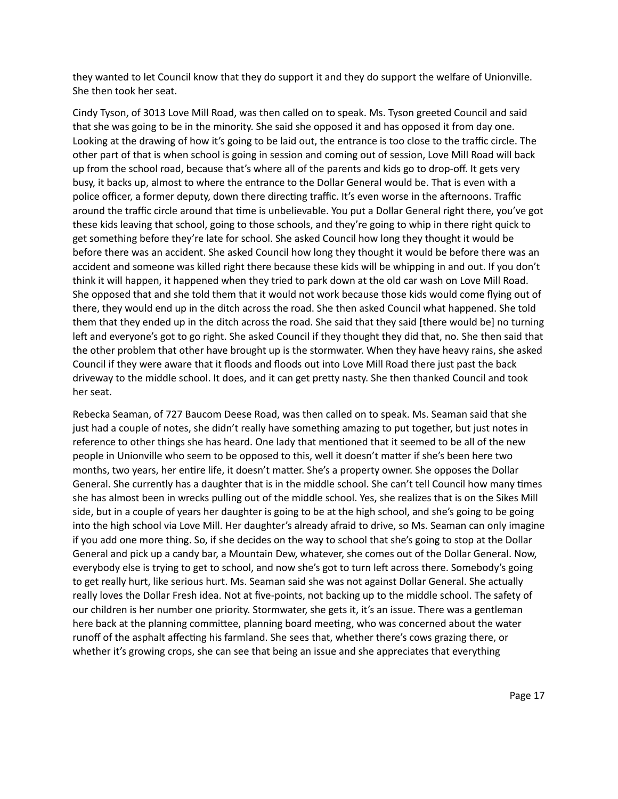they wanted to let Council know that they do support it and they do support the welfare of Unionville. She then took her seat.

Cindy Tyson, of 3013 Love Mill Road, was then called on to speak. Ms. Tyson greeted Council and said that she was going to be in the minority. She said she opposed it and has opposed it from day one. Looking at the drawing of how it's going to be laid out, the entrance is too close to the traffic circle. The other part of that is when school is going in session and coming out of session, Love Mill Road will back up from the school road, because that's where all of the parents and kids go to drop-off. It gets very busy, it backs up, almost to where the entrance to the Dollar General would be. That is even with a police officer, a former deputy, down there directing traffic. It's even worse in the afternoons. Traffic around the traffic circle around that time is unbelievable. You put a Dollar General right there, you've got these kids leaving that school, going to those schools, and they're going to whip in there right quick to get something before they're late for school. She asked Council how long they thought it would be before there was an accident. She asked Council how long they thought it would be before there was an accident and someone was killed right there because these kids will be whipping in and out. If you don't think it will happen, it happened when they tried to park down at the old car wash on Love Mill Road. She opposed that and she told them that it would not work because those kids would come flying out of there, they would end up in the ditch across the road. She then asked Council what happened. She told them that they ended up in the ditch across the road. She said that they said [there would be] no turning left and everyone's got to go right. She asked Council if they thought they did that, no. She then said that the other problem that other have brought up is the stormwater. When they have heavy rains, she asked Council if they were aware that it floods and floods out into Love Mill Road there just past the back driveway to the middle school. It does, and it can get pretty nasty. She then thanked Council and took her seat.

Rebecka Seaman, of 727 Baucom Deese Road, was then called on to speak. Ms. Seaman said that she just had a couple of notes, she didn't really have something amazing to put together, but just notes in reference to other things she has heard. One lady that mentioned that it seemed to be all of the new people in Unionville who seem to be opposed to this, well it doesn't matter if she's been here two months, two years, her entire life, it doesn't matter. She's a property owner. She opposes the Dollar General. She currently has a daughter that is in the middle school. She can't tell Council how many times she has almost been in wrecks pulling out of the middle school. Yes, she realizes that is on the Sikes Mill side, but in a couple of years her daughter is going to be at the high school, and she's going to be going into the high school via Love Mill. Her daughter's already afraid to drive, so Ms. Seaman can only imagine if you add one more thing. So, if she decides on the way to school that she's going to stop at the Dollar General and pick up a candy bar, a Mountain Dew, whatever, she comes out of the Dollar General. Now, everybody else is trying to get to school, and now she's got to turn left across there. Somebody's going to get really hurt, like serious hurt. Ms. Seaman said she was not against Dollar General. She actually really loves the Dollar Fresh idea. Not at five-points, not backing up to the middle school. The safety of our children is her number one priority. Stormwater, she gets it, it's an issue. There was a gentleman here back at the planning committee, planning board meeting, who was concerned about the water runoff of the asphalt affecting his farmland. She sees that, whether there's cows grazing there, or whether it's growing crops, she can see that being an issue and she appreciates that everything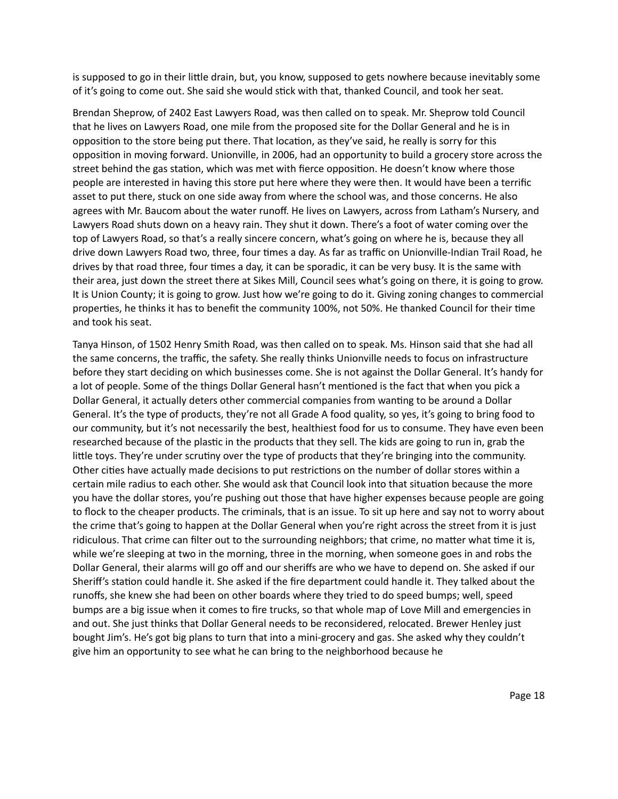is supposed to go in their little drain, but, you know, supposed to gets nowhere because inevitably some of it's going to come out. She said she would stick with that, thanked Council, and took her seat.

Brendan Sheprow, of 2402 East Lawyers Road, was then called on to speak. Mr. Sheprow told Council that he lives on Lawyers Road, one mile from the proposed site for the Dollar General and he is in opposition to the store being put there. That location, as they've said, he really is sorry for this opposition in moving forward. Unionville, in 2006, had an opportunity to build a grocery store across the street behind the gas station, which was met with fierce opposition. He doesn't know where those people are interested in having this store put here where they were then. It would have been a terrific asset to put there, stuck on one side away from where the school was, and those concerns. He also agrees with Mr. Baucom about the water runoff. He lives on Lawyers, across from Latham's Nursery, and Lawyers Road shuts down on a heavy rain. They shut it down. There's a foot of water coming over the top of Lawyers Road, so that's a really sincere concern, what's going on where he is, because they all drive down Lawyers Road two, three, four times a day. As far as traffic on Unionville-Indian Trail Road, he drives by that road three, four times a day, it can be sporadic, it can be very busy. It is the same with their area, just down the street there at Sikes Mill, Council sees what's going on there, it is going to grow. It is Union County; it is going to grow. Just how we're going to do it. Giving zoning changes to commercial properties, he thinks it has to benefit the community 100%, not 50%. He thanked Council for their time and took his seat.

Tanya Hinson, of 1502 Henry Smith Road, was then called on to speak. Ms. Hinson said that she had all the same concerns, the traffic, the safety. She really thinks Unionville needs to focus on infrastructure before they start deciding on which businesses come. She is not against the Dollar General. It's handy for a lot of people. Some of the things Dollar General hasn't mentioned is the fact that when you pick a Dollar General, it actually deters other commercial companies from wanting to be around a Dollar General. It's the type of products, they're not all Grade A food quality, so yes, it's going to bring food to our community, but it's not necessarily the best, healthiest food for us to consume. They have even been researched because of the plastic in the products that they sell. The kids are going to run in, grab the little toys. They're under scrutiny over the type of products that they're bringing into the community. Other cities have actually made decisions to put restrictions on the number of dollar stores within a certain mile radius to each other. She would ask that Council look into that situation because the more you have the dollar stores, you're pushing out those that have higher expenses because people are going to flock to the cheaper products. The criminals, that is an issue. To sit up here and say not to worry about the crime that's going to happen at the Dollar General when you're right across the street from it is just ridiculous. That crime can filter out to the surrounding neighbors; that crime, no matter what time it is, while we're sleeping at two in the morning, three in the morning, when someone goes in and robs the Dollar General, their alarms will go off and our sheriffs are who we have to depend on. She asked if our Sheriff's station could handle it. She asked if the fire department could handle it. They talked about the runoffs, she knew she had been on other boards where they tried to do speed bumps; well, speed bumps are a big issue when it comes to fire trucks, so that whole map of Love Mill and emergencies in and out. She just thinks that Dollar General needs to be reconsidered, relocated. Brewer Henley just bought Jim's. He's got big plans to turn that into a mini-grocery and gas. She asked why they couldn't give him an opportunity to see what he can bring to the neighborhood because he